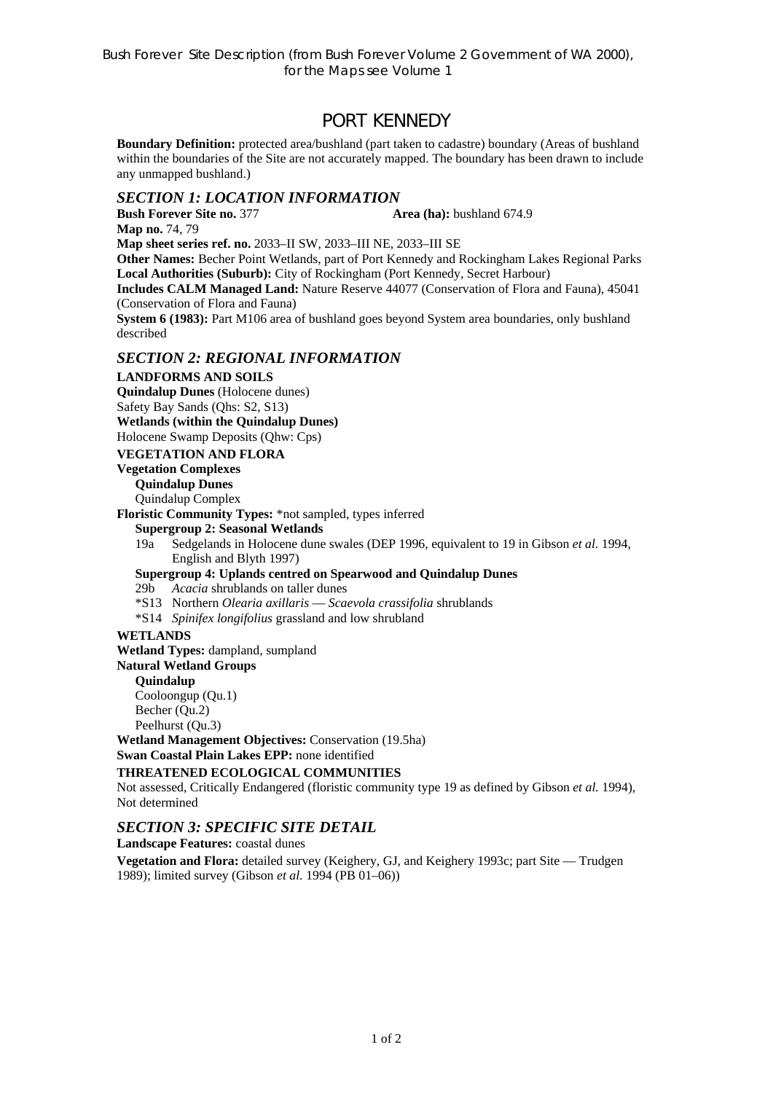# PORT KENNEDY

**Boundary Definition:** protected area/bushland (part taken to cadastre) boundary (Areas of bushland within the boundaries of the Site are not accurately mapped. The boundary has been drawn to include any unmapped bushland.)

## *SECTION 1: LOCATION INFORMATION*

**Bush Forever Site no. 377 Area (ha):** bushland 674.9 **Map no.** 74, 79

**Map sheet series ref. no.** 2033–II SW, 2033–III NE, 2033–III SE

**Other Names:** Becher Point Wetlands, part of Port Kennedy and Rockingham Lakes Regional Parks **Local Authorities (Suburb):** City of Rockingham (Port Kennedy, Secret Harbour)

**Includes CALM Managed Land:** Nature Reserve 44077 (Conservation of Flora and Fauna), 45041 (Conservation of Flora and Fauna)

**System 6 (1983):** Part M106 area of bushland goes beyond System area boundaries, only bushland described

# *SECTION 2: REGIONAL INFORMATION*

### **LANDFORMS AND SOILS**

**Quindalup Dunes** (Holocene dunes) Safety Bay Sands (Qhs: S2, S13) **Wetlands (within the Quindalup Dunes)** 

Holocene Swamp Deposits (Qhw: Cps)

## **VEGETATION AND FLORA**

## **Vegetation Complexes**

**Quindalup Dunes** 

Quindalup Complex

**Floristic Community Types:** \*not sampled, types inferred

### **Supergroup 2: Seasonal Wetlands**

19a Sedgelands in Holocene dune swales (DEP 1996, equivalent to 19 in Gibson *et al.* 1994, English and Blyth 1997)

**Supergroup 4: Uplands centred on Spearwood and Quindalup Dunes** 

- 29b *Acacia* shrublands on taller dunes
- \*S13 Northern *Olearia axillaris* — *Scaevola crassifolia* shrublands
- \*S14 *Spinifex longifolius* grassland and low shrubland

#### **WETLANDS**

**Wetland Types:** dampland, sumpland

#### **Natural Wetland Groups**

**Quindalup** 

Cooloongup (Qu.1) Becher (Qu.2) Peelhurst (Ou.3)

**Wetland Management Objectives:** Conservation (19.5ha) **Swan Coastal Plain Lakes EPP:** none identified

## **THREATENED ECOLOGICAL COMMUNITIES**

Not assessed, Critically Endangered (floristic community type 19 as defined by Gibson *et al.* 1994), Not determined

## *SECTION 3: SPECIFIC SITE DETAIL*

**Landscape Features:** coastal dunes

**Vegetation and Flora:** detailed survey (Keighery, GJ, and Keighery 1993c; part Site — Trudgen 1989); limited survey (Gibson *et al.* 1994 (PB 01–06))